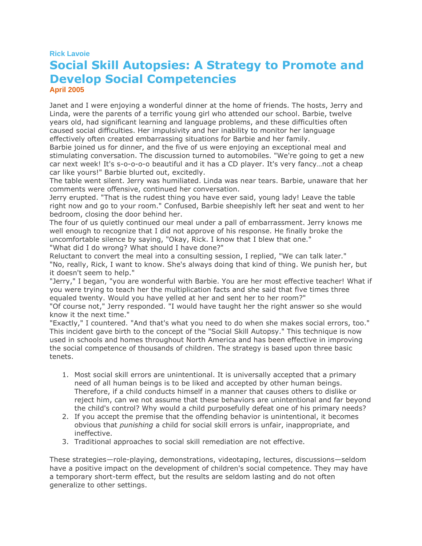## **Rick Lavoie Social Skill Autopsies: A Strategy to Promote and Develop Social Competencies April 2005**

Janet and I were enjoying a wonderful dinner at the home of friends. The hosts, Jerry and Linda, were the parents of a terrific young girl who attended our school. Barbie, twelve years old, had significant learning and language problems, and these difficulties often caused social difficulties. Her impulsivity and her inability to monitor her language effectively often created embarrassing situations for Barbie and her family.

Barbie joined us for dinner, and the five of us were enjoying an exceptional meal and stimulating conversation. The discussion turned to automobiles. "We're going to get a new car next week! It's s-o-o-o-o beautiful and it has a CD player. It's very fancy…not a cheap car like yours!" Barbie blurted out, excitedly.

The table went silent. Jerry was humiliated. Linda was near tears. Barbie, unaware that her comments were offensive, continued her conversation.

Jerry erupted. "That is the rudest thing you have ever said, young lady! Leave the table right now and go to your room." Confused, Barbie sheepishly left her seat and went to her bedroom, closing the door behind her.

The four of us quietly continued our meal under a pall of embarrassment. Jerry knows me well enough to recognize that I did not approve of his response. He finally broke the uncomfortable silence by saying, "Okay, Rick. I know that I blew that one." "What did I do wrong? What should I have done?"

Reluctant to convert the meal into a consulting session, I replied, "We can talk later." "No, really, Rick, I want to know. She's always doing that kind of thing. We punish her, but it doesn't seem to help."

"Jerry," I began, "you are wonderful with Barbie. You are her most effective teacher! What if you were trying to teach her the multiplication facts and she said that five times three equaled twenty. Would you have yelled at her and sent her to her room?"

"Of course not," Jerry responded. "I would have taught her the right answer so she would know it the next time."

"Exactly," I countered. "And that's what you need to do when she makes social errors, too." This incident gave birth to the concept of the "Social Skill Autopsy." This technique is now used in schools and homes throughout North America and has been effective in improving the social competence of thousands of children. The strategy is based upon three basic tenets.

- 1. Most social skill errors are unintentional. It is universally accepted that a primary need of all human beings is to be liked and accepted by other human beings. Therefore, if a child conducts himself in a manner that causes others to dislike or reject him, can we not assume that these behaviors are unintentional and far beyond the child's control? Why would a child purposefully defeat one of his primary needs?
- 2. If you accept the premise that the offending behavior is unintentional, it becomes obvious that *punishing* a child for social skill errors is unfair, inappropriate, and ineffective.
- 3. Traditional approaches to social skill remediation are not effective.

These strategies—role-playing, demonstrations, videotaping, lectures, discussions—seldom have a positive impact on the development of children's social competence. They may have a temporary short-term effect, but the results are seldom lasting and do not often generalize to other settings.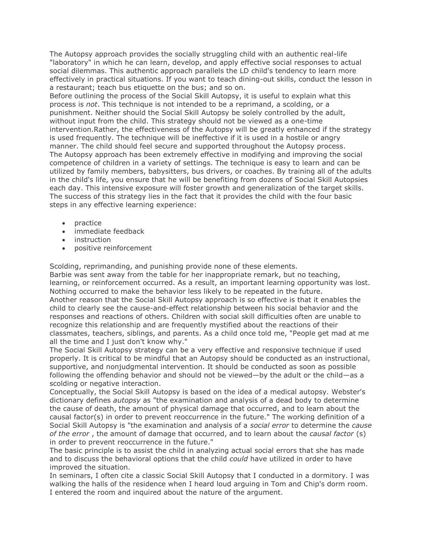The Autopsy approach provides the socially struggling child with an authentic real-life "laboratory" in which he can learn, develop, and apply effective social responses to actual social dilemmas. This authentic approach parallels the LD child's tendency to learn more effectively in practical situations. If you want to teach dining-out skills, conduct the lesson in a restaurant; teach bus etiquette on the bus; and so on.

Before outlining the process of the Social Skill Autopsy, it is useful to explain what this process is *not*. This technique is not intended to be a reprimand, a scolding, or a punishment. Neither should the Social Skill Autopsy be solely controlled by the adult, without input from the child. This strategy should not be viewed as a one-time intervention.Rather, the effectiveness of the Autopsy will be greatly enhanced if the strategy is used frequently. The technique will be ineffective if it is used in a hostile or angry manner. The child should feel secure and supported throughout the Autopsy process. The Autopsy approach has been extremely effective in modifying and improving the social competence of children in a variety of settings. The technique is easy to learn and can be utilized by family members, babysitters, bus drivers, or coaches. By training all of the adults in the child's life, you ensure that he will be benefiting from dozens of Social Skill Autopsies each day. This intensive exposure will foster growth and generalization of the target skills. The success of this strategy lies in the fact that it provides the child with the four basic steps in any effective learning experience:

- practice
- immediate feedback
- instruction
- positive reinforcement

Scolding, reprimanding, and punishing provide none of these elements.

Barbie was sent away from the table for her inappropriate remark, but no teaching, learning, or reinforcement occurred. As a result, an important learning opportunity was lost. Nothing occurred to make the behavior less likely to be repeated in the future. Another reason that the Social Skill Autopsy approach is so effective is that it enables the child to clearly see the cause-and-effect relationship between his social behavior and the responses and reactions of others. Children with social skill difficulties often are unable to recognize this relationship and are frequently mystified about the reactions of their classmates, teachers, siblings, and parents. As a child once told me, "People get mad at me all the time and I just don't know why."

The Social Skill Autopsy strategy can be a very effective and responsive technique if used properly. It is critical to be mindful that an Autopsy should be conducted as an instructional, supportive, and nonjudgmental intervention. It should be conducted as soon as possible following the offending behavior and should not be viewed—by the adult or the child—as a scolding or negative interaction.

Conceptually, the Social Skill Autopsy is based on the idea of a medical autopsy. Webster's dictionary defines *autopsy* as "the examination and analysis of a dead body to determine the cause of death, the amount of physical damage that occurred, and to learn about the causal factor(s) in order to prevent reoccurrence in the future." The working definition of a Social Skill Autopsy is "the examination and analysis of a *social error* to determine the *cause of the error* , the amount of damage that occurred, and to learn about the *causal factor* (s) in order to prevent reoccurrence in the future."

The basic principle is to assist the child in analyzing actual social errors that she has made and to discuss the behavioral options that the child *could* have utilized in order to have improved the situation.

In seminars, I often cite a classic Social Skill Autopsy that I conducted in a dormitory. I was walking the halls of the residence when I heard loud arguing in Tom and Chip's dorm room. I entered the room and inquired about the nature of the argument.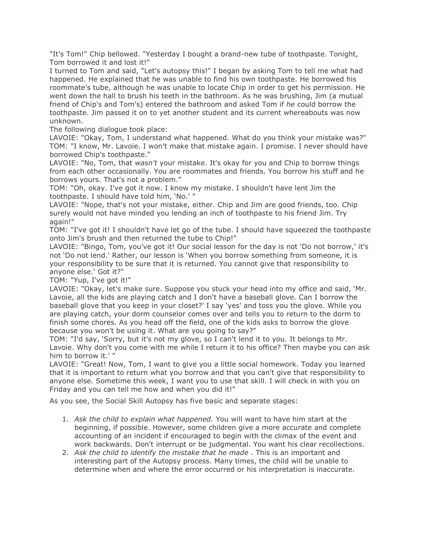"It's Tom!" Chip bellowed. "Yesterday I bought a brand-new tube of toothpaste. Tonight, Tom borrowed it and lost it!"

I turned to Tom and said, "Let's autopsy this!" I began by asking Tom to tell me what had happened. He explained that he was unable to find his own toothpaste. He borrowed his roommate's tube, although he was unable to locate Chip in order to get his permission. He went down the hall to brush his teeth in the bathroom. As he was brushing, Jim (a mutual friend of Chip's and Tom's) entered the bathroom and asked Tom if *he* could borrow the toothpaste. Jim passed it on to yet another student and its current whereabouts was now unknown.

The following dialogue took place:

LAVOIE: "Okay, Tom, I understand what happened. What do you think your mistake was?" TOM: "I know, Mr. Lavoie. I won't make that mistake again. I promise. I never should have borrowed Chip's toothpaste."

LAVOIE: "No, Tom, that *wasn't* your mistake. It's okay for you and Chip to borrow things from each other occasionally. You are roommates and friends. You borrow his stuff and he borrows yours. That's not a problem."

TOM: "Oh, okay. I've got it now. I know my mistake. I shouldn't have lent Jim the toothpaste. I should have told him, 'No.' "

LAVOIE: "Nope, that's not your mistake, either. Chip and Jim are good friends, too. Chip surely would not have minded you lending an inch of toothpaste to his friend Jim. Try again!"

TOM: "I've got it! I shouldn't have let go of the tube. I should have squeezed the toothpaste onto Jim's brush and then returned the tube to Chip!"

LAVOIE: "Bingo, Tom, you've got it! Our social lesson for the day is not 'Do not borrow,' it's not 'Do not lend.' Rather, our lesson is 'When you borrow something from someone, it is your responsibility to be sure that it is returned. You cannot give that responsibility to anyone else.' Got it?"

TOM: "Yup, I've got it!"

LAVOIE: "Okay, let's make sure. Suppose you stuck your head into my office and said, 'Mr. Lavoie, all the kids are playing catch and I don't have a baseball glove. Can I borrow the baseball glove that you keep in your closet?' I say 'yes' and toss you the glove. While you are playing catch, your dorm counselor comes over and tells you to return to the dorm to finish some chores. As you head off the field, one of the kids asks to borrow the glove because you won't be using it. What are you going to say?"

TOM: "I'd say, 'Sorry, but it's not my glove, so I can't lend it to you. It belongs to Mr. Lavoie. Why don't you come with me while I return it to his office? Then maybe you can ask him to borrow it.' "

LAVOIE: "Great! Now, Tom, I want to give you a little social homework. Today you learned that it is important to return what you borrow and that you can't give that responsibility to anyone else. Sometime this week, I want you to use that skill. I will check in with you on Friday and you can tell me how and when you did it!"

As you see, the Social Skill Autopsy has five basic and separate stages:

- 1. *Ask the child to explain what happened.* You will want to have him start at the beginning, if possible. However, some children give a more accurate and complete accounting of an incident if encouraged to begin with the climax of the event and work backwards. Don't interrupt or be judgmental. You want his clear recollections.
- 2. *Ask the child to identify the mistake that he made* . This is an important and interesting part of the Autopsy process. Many times, the child will be unable to determine when and where the error occurred or his interpretation is inaccurate.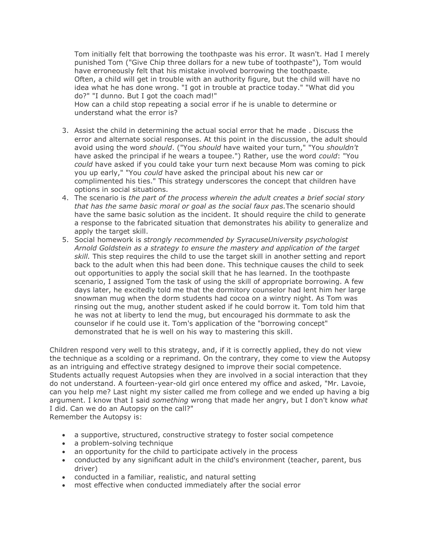Tom initially felt that borrowing the toothpaste was his error. It wasn't. Had I merely punished Tom ("Give Chip three dollars for a new tube of toothpaste"), Tom would have erroneously felt that his mistake involved borrowing the toothpaste. Often, a child will get in trouble with an authority figure, but the child will have no idea what he has done wrong. "I got in trouble at practice today." "What did you do?" "I dunno. But I got the coach mad!"

How can a child stop repeating a social error if he is unable to determine or understand what the error is?

- 3. Assist the child in determining the actual social error that he made . Discuss the error and alternate social responses. At this point in the discussion, the adult should avoid using the word *should*. ("You *should* have waited your turn," "You *shouldn't* have asked the principal if he wears a toupee.") Rather, use the word *could*: "You *could* have asked if you could take your turn next because Mom was coming to pick you up early," "You *could* have asked the principal about his new car or complimented his ties." This strategy underscores the concept that children have options in social situations.
- 4. The scenario is *the part of the process wherein the adult creates a brief social story that has the same basic moral or goal as the social faux pas.*The scenario should have the same basic solution as the incident. It should require the child to generate a response to the fabricated situation that demonstrates his ability to generalize and apply the target skill.
- 5. Social homework is *strongly recommended by SyracuseUniversity psychologist Arnold Goldstein as a strategy to ensure the mastery and application of the target skill.* This step requires the child to use the target skill in another setting and report back to the adult when this had been done. This technique causes the child to seek out opportunities to apply the social skill that he has learned. In the toothpaste scenario, I assigned Tom the task of using the skill of appropriate borrowing. A few days later, he excitedly told me that the dormitory counselor had lent him her large snowman mug when the dorm students had cocoa on a wintry night. As Tom was rinsing out the mug, another student asked if he could borrow it. Tom told him that he was not at liberty to lend the mug, but encouraged his dormmate to ask the counselor if he could use it. Tom's application of the "borrowing concept" demonstrated that he is well on his way to mastering this skill.

Children respond very well to this strategy, and, if it is correctly applied, they do not view the technique as a scolding or a reprimand. On the contrary, they come to view the Autopsy as an intriguing and effective strategy designed to improve their social competence. Students actually request Autopsies when they are involved in a social interaction that they do not understand. A fourteen-year-old girl once entered my office and asked, "Mr. Lavoie, can you help me? Last night my sister called me from college and we ended up having a big argument. I know that I said *something* wrong that made her angry, but I don't know *what* I did. Can we do an Autopsy on the call?"

Remember the Autopsy is:

- a supportive, structured, constructive strategy to foster social competence
- a problem-solving technique
- an opportunity for the child to participate actively in the process
- conducted by any significant adult in the child's environment (teacher, parent, bus driver)
- conducted in a familiar, realistic, and natural setting
- most effective when conducted immediately after the social error